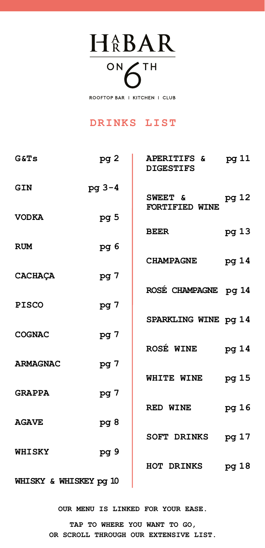<span id="page-0-0"></span>HABAR ON 6TH

ROOFTOP BAR | KITCHEN | CLUB

### **DRINKS LIST**

| G&TS                   | pg 2            | APERITIFS & pg 11<br><b>DIGESTIFS</b> |       |
|------------------------|-----------------|---------------------------------------|-------|
| GIN                    | pg 3-4          | SWEET & pg 12<br>FORTIFIED WINE       |       |
| <b>VODKA</b>           | pg <sub>5</sub> |                                       |       |
| RUM                    | pg 6            | BEER                                  | pg 13 |
|                        |                 | <b>CHAMPAGNE</b>                      | pg 14 |
| <b>CACHAÇA</b>         | pg 7            | ROSÉ CHAMPAGNE pg 14                  |       |
| <b>PISCO</b>           | pg 7            |                                       |       |
| <b>COGNAC</b>          | pg 7            | SPARKLING WINE pq 14                  |       |
|                        |                 | <b>ROSÉ WINE</b>                      | pg 14 |
| <b>ARMAGNAC</b>        | pg 7            | WHITE WINE pg 15                      |       |
| <b>GRAPPA</b>          | pg 7            |                                       |       |
| <b>AGAVE</b>           | pg <sub>8</sub> | <b>RED WINE</b>                       | pg 16 |
|                        |                 | SOFT DRINKS pg 17                     |       |
| <b>WHISKY</b>          | pg <sub>9</sub> | HOT DRINKS pg 18                      |       |
| WHISKY & WHISKEY pg 10 |                 |                                       |       |

**OUR MENU IS LINKED FOR YOUR EASE.** 

**TAP TO WHERE YOU WANT TO GO, OR SCROLL THROUGH OUR EXTENSIVE LIST.**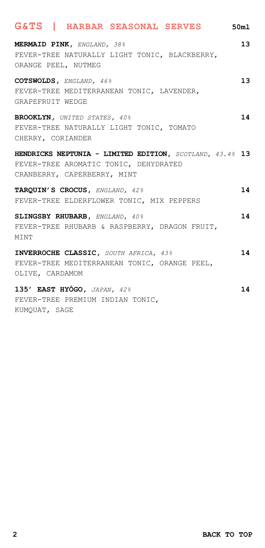## <span id="page-1-0"></span>**MERMAID PINK,** *ENGLAND, 38%* **13** FEVER-TREE NATURALLY LIGHT TONIC, BLACKBERRY, ORANGE PEEL, NUTMEG **COTSWOLDS,** *ENGLAND, 46%* **13** FEVER-TREE MEDITERRANEAN TONIC, LAVENDER, GRAPEFRUIT WEDGE **BROOKLYN,** *UNITED STATES, 40%* **14** FEVER-TREE NATURALLY LIGHT TONIC, TOMATO **G&TS | HARBAR SEASONAL SERVES 50ml**

CHERRY, CORIANDER **HENDRICKS NEPTUNIA - LIMITED EDITION,** *SCOTLAND, 43.4%* **13** FEVER-TREE AROMATIC TONIC, DEHYDRATED CRANBERRY, CAPERBERRY, MINT

**TARQUIN'S CROCUS,** *ENGLAND, 42%* **14** FEVER-TREE ELDERFLOWER TONIC, MIX PEPPERS

**SLINGSBY RHUBARB,** *ENGLAND, 40%* **14** FEVER-TREE RHUBARB & RASPBERRY, DRAGON FRUIT, **MTNT** 

**INVERROCHE CLASSIC,** *SOUTH AFRICA, 43%* **14** FEVER-TREE MEDITERRANEAN TONIC, ORANGE PEEL, OLIVE, CARDAMOM

**135' EAST HYŌGO,** *JAPAN, 42%* **14** FEVER-TREE PREMIUM INDIAN TONIC, KUMQUAT, SAGE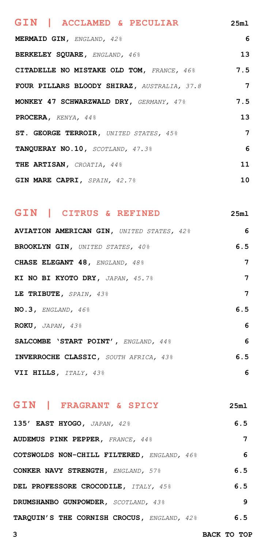<span id="page-2-0"></span>

| GIN   ACCLAMED & PECULIAR                   | 25m1           |
|---------------------------------------------|----------------|
| MERMAID GIN, ENGLAND, 42%                   | 6              |
| BERKELEY SQUARE, ENGLAND, 46%               | 13             |
| CITADELLE NO MISTAKE OLD TOM, FRANCE, 46%   | 7.5            |
| FOUR PILLARS BLOODY SHIRAZ, AUSTRALIA, 37.8 | $\overline{7}$ |
| MONKEY 47 SCHWARZWALD DRY, GERMANY, 47%     | 7.5            |
| PROCERA, KENYA, 44%                         | 13             |
| ST. GEORGE TERROIR, UNITED STATES, 45%      | 7              |
| TANQUERAY NO.10, SCOTLAND, 47.3%            | 6              |
| THE ARTISAN, CROATIA, 44%                   | 11             |
| GIN MARE CAPRI, SPAIN, 42.7%                | 10             |

### **GIN | CITRUS & REFINED 25ml**

**AVIATION AMERICAN GIN,** *UNITED STATES, 42%* **6 BROOKLYN GIN,** *UNITED STATES, 40%* **6.5 CHASE ELEGANT 48,** *ENGLAND, 48%* **7 KI NO BI KYOTO DRY,** *JAPAN, 45.7%* **7 LE TRIBUTE,** *SPAIN, 43%* **7 NO.3,** *ENGLAND, 46%* **6.5 ROKU,** *JAPAN, 43%* **6 SALCOMBE 'START POINT',** *ENGLAND, 44%* **6 INVERROCHE CLASSIC,** *SOUTH AFRICA, 43%* **6.5 VII HILLS,** *ITALY, 43%* **6**

# **GIN | FRAGRANT & SPICY 25ml**

**135' EAST HYOGO,** *JAPAN, 42%* **6.5 AUDEMUS PINK PEPPER,** *FRANCE, 44%* **7 COTSWOLDS NON-CHILL FILTERED,** *ENGLAND, 46%* **6 CONKER NAVY STRENGTH,** *ENGLAND, 57%* **6.5 DEL PROFESSORE CROCODILE,** *ITALY, 45%* **6.5 DRUMSHANBO GUNPOWDER,** *SCOTLAND, 43%* **9 TARQUIN'S THE CORNISH CROCUS,** *ENGLAND, 42%* **6.5**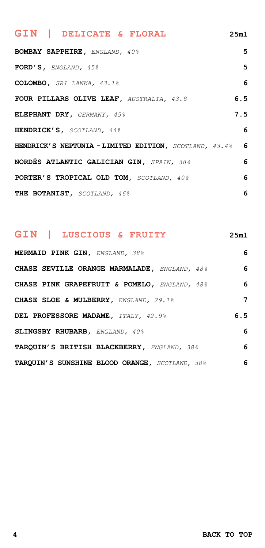| GIN   DELICATE & FLORAL                                  | 25ml |
|----------------------------------------------------------|------|
| <b>BOMBAY SAPPHIRE, ENGLAND, 40%</b>                     | 5    |
| FORD'S, ENGLAND, $45\frac{6}{3}$                         | 5    |
| COLOMBO, SRI LANKA, 43.1%                                | 6    |
| FOUR PILLARS OLIVE LEAF, AUSTRALIA, 43.8                 | 6.5  |
| ELEPHANT DRY, GERMANY, 45%                               | 7.5  |
| HENDRICK'S, SCOTLAND, 44%                                | 6    |
| HENDRICK'S NEPTUNIA - LIMITED EDITION, SCOTLAND, 43.4% 6 |      |
| NORDES ATLANTIC GALICIAN GIN, SPAIN, 38%                 | 6    |
| PORTER'S TROPICAL OLD TOM, SCOTLAND, 40%                 | 6    |
| THE BOTANIST, SCOTLAND, 46%                              | 6    |

## **GIN | LUSCIOUS & FRUITY 25ml**

| MERMAID PINK GIN, ENGLAND, 38%                 | 6   |
|------------------------------------------------|-----|
| CHASE SEVILLE ORANGE MARMALADE, ENGLAND, 48%   | 6   |
| CHASE PINK GRAPEFRUIT & POMELO, ENGLAND, 48%   | 6   |
| CHASE SLOE & MULBERRY. ENGLAND, 29.1%          | 7   |
| DEL PROFESSORE MADAME, ITALY, 42.9%            | 6.5 |
| SLINGSBY RHUBARB, ENGLAND, 40%                 | 6   |
| TARQUIN'S BRITISH BLACKBERRY, ENGLAND, 38%     | 6   |
| TARQUIN'S SUNSHINE BLOOD ORANGE, SCOTLAND, 38% | 6   |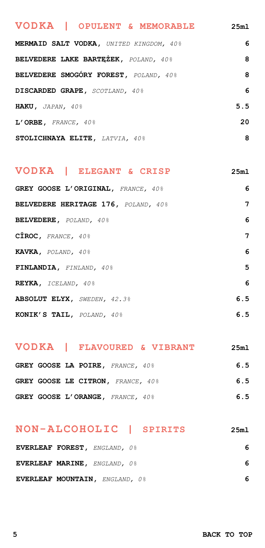# <span id="page-4-0"></span>**MERMAID SALT VODKA,** *UNITED KINGDOM, 40%* **6 BELVEDERE LAKE BARTĘŻEK,** *POLAND, 40%* **8 BELVEDERE SMOGÓRY FOREST,** *POLAND, 40%* **8 DISCARDED GRAPE,** *SCOTLAND, 40%* **6 HAKU,** *JAPAN, 40%* **5.5 L'ORBE,** *FRANCE, 40%* **20 STOLICHNAYA ELITE,** *LATVIA, 40%* **8 VODKA | OPULENT & MEMORABLE 25ml**

#### **VODKA | ELEGANT & CRISP 25ml**

| GREY GOOSE L'ORIGINAL, FRANCE, 40%  | 6   |
|-------------------------------------|-----|
| BELVEDERE HERITAGE 176, POLAND, 40% | 7   |
| BELVEDERE, POLAND, 40%              | 6   |
| $C\hat{I}ROC,$ FRANCE, 40%          | 7   |
| KAVKA, POLAND, 40%                  | 6   |
| FINLANDIA, FINLAND, 40%             | 5.  |
| REYKA, ICELAND, 40%                 | 6   |
| <b>ABSOLUT ELYX, SWEDEN, 42.3%</b>  | 6.5 |
| KONIK'S TAIL, POLAND, 40%           | 6.5 |

#### **VODKA | FLAVOURED & VIBRANT 25ml**

| GREY GOOSE LA POIRE, FRANCE, 40%  | 6.5 |
|-----------------------------------|-----|
| GREY GOOSE LE CITRON, FRANCE, 40% | 6.5 |
| GREY GOOSE L'ORANGE, FRANCE, 40%  | 6.5 |

### **NON-ALCOHOLIC | SPIRITS 25ml**

| EVERLEAF FOREST, ENGLAND, 0%   | 6 |
|--------------------------------|---|
| EVERLEAF MARINE, ENGLAND, 0%   | 6 |
| EVERLEAF MOUNTAIN, ENGLAND, 0% | 6 |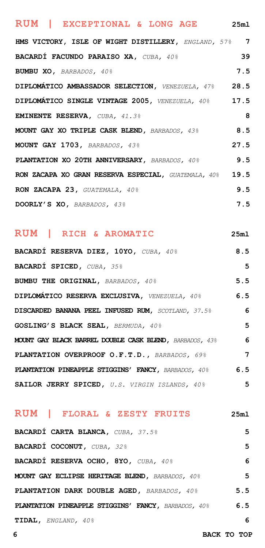# <span id="page-5-0"></span>**HMS VICTORY, ISLE OF WIGHT DISTILLERY,** *ENGLAND, 57%* **7 BACARDÍ FACUNDO PARAISO XA,** *CUBA, 40%* **39 BUMBU XO,** *BARBADOS, 40%* **7.5 DIPLOMÁTICO AMBASSADOR SELECTION,** *VENEZUELA, 47%* **28.5 DIPLOMÁTICO SINGLE VINTAGE 2005,** *VENEZUELA, 40%* **17.5 EMINENTE RESERVA,** *CUBA, 41.3%* **8 MOUNT GAY XO TRIPLE CASK BLEND,** *BARBADOS, 43%* **8.5 MOUNT GAY 1703,** *BARBADOS, 43%* **27.5 PLANTATION XO 20TH ANNIVERSARY,** *BARBADOS, 40%* **9.5 RON ZACAPA XO GRAN RESERVA ESPECIAL,** *GUATEMALA, 40%* **19.5 RON ZACAPA 23,** *GUATEMALA, 40%* **<b>10.5 9.5 DOORLY'S XO,** *BARBADOS, 43%* **7.5 RUM | EXCEPTIONAL & LONG AGE 25ml**

#### **RUM | RICH & AROMATIC 25ml**

| BACARDÍ RESERVA DIEZ, 10YO, CUBA, 40%                   | 8.5            |
|---------------------------------------------------------|----------------|
| <b>BACARDI SPICED, CUBA, 35%</b>                        | 5              |
| <b>BUMBU THE ORIGINAL, BARBADOS, 40%</b>                | 5.5            |
| DIPLOMÁTICO RESERVA EXCLUSIVA, VENEZUELA, 40%           | 6.5            |
| DISCARDED BANANA PEEL INFUSED RUM, SCOTLAND, 37.5%      | 6              |
| GOSLING'S BLACK SEAL, BERMUDA, 40%                      | 5              |
| MOUNT GAY BLACK BARREL DOUBLE CASK BLEND, BARBADOS, 43% | 6              |
| PLANTATION OVERPROOF O.F.T.D., BARBADOS, 69%            | $\overline{7}$ |
| PLANTATION PINEAPPLE STIGGINS' FANCY, BARBADOS, 40%     | 6.5            |
| SAILOR JERRY SPICED, U.S. VIRGIN ISLANDS, 40%           | 5              |

#### **RUM | FLORAL & ZESTY FRUITS 25ml**

| BACARDI CARTA BLANCA, CUBA, 37.5%                          | 5   |
|------------------------------------------------------------|-----|
| BACARDÍ COCONUT, CUBA, 32%                                 | 5   |
| BACARDÍ RESERVA OCHO, 8YO, CUBA, 40%                       | 6   |
| MOUNT GAY ECLIPSE HERITAGE BLEND, BARBADOS, 40%            | 5   |
| PLANTATION DARK DOUBLE AGED, BARBADOS, 40%                 | 5.5 |
| <b>PLANTATION PINEAPPLE STIGGINS' FANCY, BARBADOS, 40%</b> | 6.5 |
| TIDAL, ENGLAND, 40%                                        | 6   |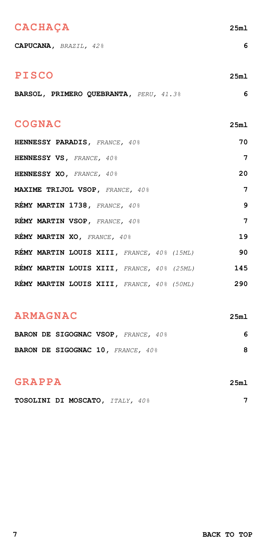### <span id="page-6-0"></span>**CACHAÇA 25ml**

**CAPUCANA,** *BRAZIL, 42%* **6**

### **PISCO 25ml**

|  | BARSOL, PRIMERO QUEBRANTA, PERU, 41.3% |  |  |  |  |
|--|----------------------------------------|--|--|--|--|
|--|----------------------------------------|--|--|--|--|

### **COGNAC 25ml**

| HENNESSY PARADIS, FRANCE, 40%              | 70  |
|--------------------------------------------|-----|
| HENNESSY VS, FRANCE, 40%                   | 7   |
| HENNESSY XO, FRANCE, 40%                   | 20  |
| MAXIME TRIJOL VSOP, FRANCE, 40%            | 7   |
| REMY MARTIN 1738, FRANCE, 40%              | 9   |
| REMY MARTIN VSOP, FRANCE, 40%              | 7   |
| REMY MARTIN XO, FRANCE, 40%                | 19  |
| RÉMY MARTIN LOUIS XIII, FRANCE, 40% (15ML) | 90  |
| RÉMY MARTIN LOUIS XIII, FRANCE, 40% (25ML) | 145 |
| RÉMY MARTIN LOUIS XIII, FRANCE, 40% (50ML) | 290 |

### **ARMAGNAC 25ml**

|  | BARON DE SIGOGNAC VSOP, FRANCE, 40% |  |  |  |
|--|-------------------------------------|--|--|--|
|  | BARON DE SIGOGNAC 10, FRANCE, 40%   |  |  |  |

### **GRAPPA 25ml**

**TOSOLINI DI MOSCATO,** *ITALY, 40%* **7**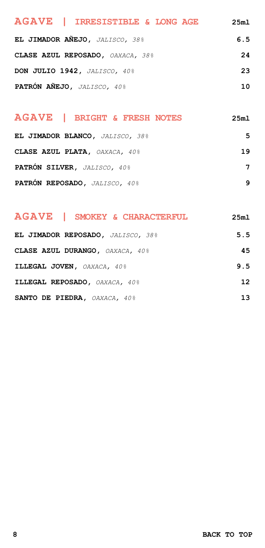<span id="page-7-0"></span>

| AGAVE   IRRESISTIBLE & LONG AGE  | 25m1 |
|----------------------------------|------|
| EL JIMADOR AÑEJO, JALISCO, 38%   | 6.5  |
| CLASE AZUL REPOSADO, OAXACA, 38% | 24   |
| DON JULIO 1942, JALISCO, 40%     | 23   |
| PATRÓN AÑEJO, JALISCO, 40%       | 10   |

# **EL JIMADOR BLANCO,** *JALISCO, 38%* **5 AGAVE | BRIGHT & FRESH NOTES 25ml**

| CLASE AZUL PLATA, OAXACA, 40% | 19 |
|-------------------------------|----|
| PATRÓN SILVER. JALISCO. 40%   |    |
| PATRÓN REPOSADO, JALISCO, 40% | q  |

| AGAVE   SMOKEY & CHARACTERFUL     | 25m1 |
|-----------------------------------|------|
| EL JIMADOR REPOSADO, JALISCO, 38% | 5.5  |
| CLASE AZUL DURANGO, OAXACA, 40%   | 45   |
| ILLEGAL JOVEN. OAXACA, 40%        | 9.5  |
| ILLEGAL REPOSADO, OAXACA, 40%     | 12   |
| SANTO DE PIEDRA, OAXACA, 40%      | 13   |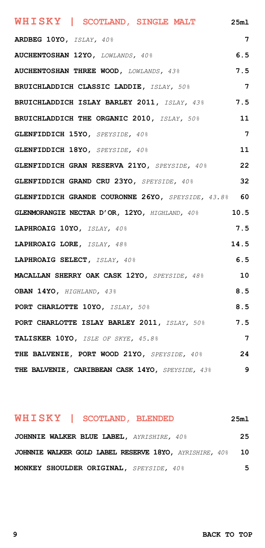<span id="page-8-0"></span>**ARDBEG 10YO,** *ISLAY, 40%* **7 AUCHENTOSHAN 12YO,** *LOWLANDS, 40%* **6.5 AUCHENTOSHAN THREE WOOD,** *LOWLANDS, 43%* **7.5 BRUICHLADDICH CLASSIC LADDIE,** *ISLAY, 50%* **7 BRUICHLADDICH ISLAY BARLEY 2011,** *ISLAY, 43%* **7.5 BRUICHLADDICH THE ORGANIC 2010,** *ISLAY, 50%* **11 GLENFIDDICH 15YO,** *SPEYSIDE, 40%* **7 GLENFIDDICH 18YO,** *SPEYSIDE, 40%* **11 GLENFIDDICH GRAN RESERVA 21YO,** *SPEYSIDE, 40%* **22 GLENFIDDICH GRAND CRU 23YO,** *SPEYSIDE, 40%* **32 GLENFIDDICH GRANDE COURONNE 26YO,** *SPEYSIDE, 43.8%* **60 GLENMORANGIE NECTAR D'OR, 12YO,** *HIGHLAND, 40%* **10.5 LAPHROAIG 10YO,** *ISLAY, 40%* **7.5 LAPHROAIG LORE,** *ISLAY, 48%* **14.5 LAPHROAIG SELECT,** *ISLAY, 40%* **6.5 MACALLAN SHERRY OAK CASK 12YO,** *SPEYSIDE, 48%* **10 OBAN 14YO,** *HIGHLAND, 43%* **8.5 PORT CHARLOTTE 10YO,** *ISLAY, 50%* **8.5 PORT CHARLOTTE ISLAY BARLEY 2011,** *ISLAY, 50%* **7.5 TALISKER 10YO,** *ISLE OF SKYE, 45.8%* **7 THE BALVENIE, PORT WOOD 21YO,** *SPEYSIDE, 40%* **24 THE BALVENIE, CARIBBEAN CASK 14YO,** *SPEYSIDE, 43%* **9 WHISKY | SCOTLAND, SINGLE MALT 25ml**

#### **WHISKY | SCOTLAND, BLENDED 25ml**

| JOHNNIE WALKER BLUE LABEL, AYRISHIRE, 40%              | 25 |
|--------------------------------------------------------|----|
| JOHNNIE WALKER GOLD LABEL RESERVE 18YO, AYRISHIRE, 40% | 10 |
| MONKEY SHOULDER ORIGINAL, SPEYSIDE, 40%                | 5  |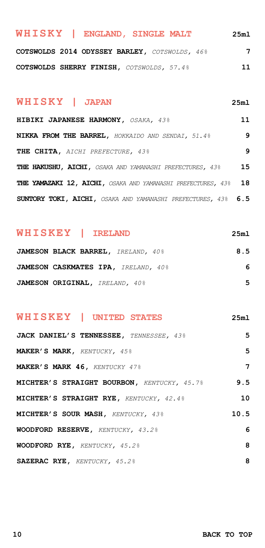<span id="page-9-0"></span>

| WHISKY   ENGLAND, SINGLE MALT                 | 25m1 |
|-----------------------------------------------|------|
| COTSWOLDS 2014 ODYSSEY BARLEY, COTSWOLDS, 46% | 7    |
| COTSWOLDS SHERRY FINISH, COTSWOLDS, 57.4%     | 11   |

#### **WHISKY | JAPAN 25ml**

**HIBIKI JAPANESE HARMONY,** *OSAKA, 43%* **11 NIKKA FROM THE BARREL,** *HOKKAIDO AND SENDAI, 51.4%* **9 THE CHITA,** *AICHI PREFECTURE, 43%* **9 THE HAKUSHU, AICHI,** *OSAKA AND YAMANASHI PREFECTURES, 43%* **15 THE YAMAZAKI 12, AICHI,** *OSAKA AND YAMANASHI PREFECTURES, 43%* **18 SUNTORY TOKI, AICHI,** *OSAKA AND YAMANASHI PREFECTURES, 43%* **6.5**

### **WHISKEY | IRELAND 25ml**

| JAMESON BLACK BARREL, IRELAND, 40%  | 8.5 |
|-------------------------------------|-----|
| JAMESON CASKMATES IPA, IRELAND, 40% | 6   |
| JAMESON ORIGINAL, IRELAND, 40%      | 5   |

### **WHISKEY | UNITED STATES 25ml**

| JACK DANIEL'S TENNESSEE, TENNESSEE, 43%     | 5    |
|---------------------------------------------|------|
| MAKER'S MARK, KENTUCKY, 45%                 | 5    |
| MAKER'S MARK 46, KENTUCKY 47%               | 7    |
| MICHTER'S STRAIGHT BOURBON, KENTUCKY, 45.7% | 9.5  |
| MICHTER'S STRAIGHT RYE, KENTUCKY, 42.4%     | 10   |
| MICHTER'S SOUR MASH, KENTUCKY, 43%          | 10.5 |
| WOODFORD RESERVE, KENTUCKY, 43.2%           | 6    |
| WOODFORD RYE, KENTUCKY, 45.2%               | 8    |
| SAZERAC RYE, KENTUCKY, 45.2%                | 8    |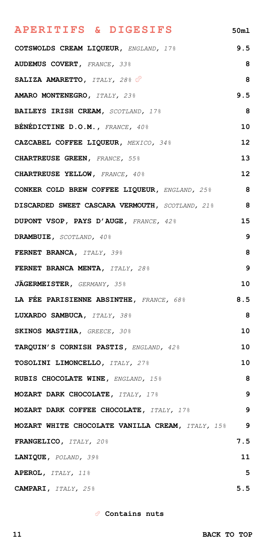# <span id="page-10-0"></span>**COTSWOLDS CREAM LIQUEUR,** *ENGLAND, 17%* **9.5 AUDEMUS COVERT,** *FRANCE, 33%* **8 SALIZA AMARETTO,** *ITALY, 28%* **8 AMARO MONTENEGRO,** *ITALY, 23%* **9.5 BAILEYS IRISH CREAM,** *SCOTLAND, 17%* **8 BÉNÉDICTINE D.O.M.,** *FRANCE, 40%* **10 CAZCABEL COFFEE LIQUEUR,** *MEXICO, 34%* **12 CHARTREUSE GREEN,** *FRANCE, 55%* **13 CHARTREUSE YELLOW,** *FRANCE, 40%* **12 CONKER COLD BREW COFFEE LIQUEUR,** *ENGLAND, 25%* **8 DISCARDED SWEET CASCARA VERMOUTH,** *SCOTLAND, 21%* **8 DUPONT VSOP, PAYS D'AUGE,** *FRANCE, 42%* **15 DRAMBUIE,** *SCOTLAND, 40%* **9 FERNET BRANCA,** *ITALY, 39%* **8 FERNET BRANCA MENTA,** *ITALY, 28%* **9 JÄGERMEISTER,** *GERMANY, 35%* **10 LA FÉE PARISIENNE ABSINTHE,** *FRANCE, 68%* **8.5 LUXARDO SAMBUCA,** *ITALY, 38%* **8 SKINOS MASTIHA,** *GREECE, 30%* **10 TARQUIN'S CORNISH PASTIS,** *ENGLAND, 42%* **10 TOSOLINI LIMONCELLO,** *ITALY, 27%* **10 RUBIS CHOCOLATE WINE,** *ENGLAND, 15%* **8 MOZART DARK CHOCOLATE,** *ITALY, 17%* **9 MOZART DARK COFFEE CHOCOLATE,** *ITALY, 17%* **9 MOZART WHITE CHOCOLATE VANILLA CREAM,** *ITALY, 15%* **9 FRANGELICO,** *ITALY, 20%* **7.5 LANIQUE,** *POLAND, 39%* **11 APEROL,** *ITALY, 11%* **5 CAMPARI,** *ITALY, 25%* **5.5 APERITIFS & DIGESIFS 50ml**

 **Contains nuts**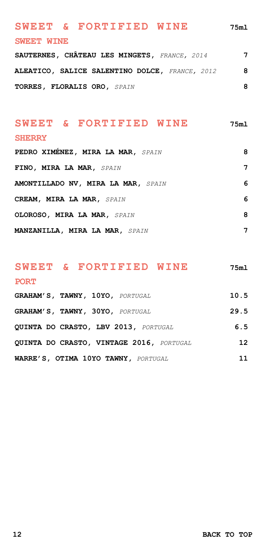# <span id="page-11-0"></span>**SWEET & FORTIFIED WINE 75ml SWEET WINE**

**SAUTERNES, CHÂTEAU LES MINGETS,** *FRANCE, 2014* **7 ALEATICO, SALICE SALENTINO DOLCE,** *FRANCE, 2012* **8 TORRES, FLORALIS ORO,** *SPAIN* **8**

#### **SWEET & FORTIFIED WINE 75ml**

#### **SHERRY**

| PEDRO XIMENEZ, MIRA LA MAR, SPAIN     | 8 |
|---------------------------------------|---|
| FINO, MIRA LA MAR, SPAIN              | 7 |
| AMONTILLADO NV, MIRA LA MAR, SPAIN    | 6 |
| CREAM, MIRA LA MAR, SPAIN             | 6 |
| OLOROSO, MIRA LA MAR, SPAIN           | 8 |
| <b>MANZANILLA, MIRA LA MAR, SPAIN</b> | 7 |

## **SWEET & FORTIFIED WINE 75ml PORT**

| GRAHAM'S, TAWNY, 10YO, PORTUGAL          | 10.5 |
|------------------------------------------|------|
| GRAHAM'S, TAWNY, 30YO, PORTUGAL          | 29.5 |
| OUINTA DO CRASTO. LBV 2013. PORTUGAL     | 6.5  |
| QUINTA DO CRASTO, VINTAGE 2016, PORTUGAL | 12   |
| WARRE'S, OTIMA 10YO TAWNY, PORTUGAL      | 11   |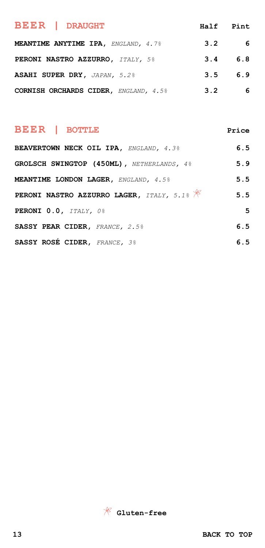<span id="page-12-0"></span>

| <b>BEER   DRAUGHT</b>                      | Half Pint |     |
|--------------------------------------------|-----------|-----|
| <b>MEANTIME ANYTIME IPA.</b> ENGLAND, 4.7% | 3.2       | -6  |
| PERONI NASTRO AZZURRO, ITALY, 5%           | 3.4       | 6.8 |
| ASAHI SUPER DRY, JAPAN, 5.2%               | 3.5       | 6.9 |
| CORNISH ORCHARDS CIDER, ENGLAND, 4.5%      | 3.2       | 6   |

### **BEER | BOTTLE Price**

| BEAVERTOWN NECK OIL IPA, ENGLAND, 4.3%                | 6.5 |
|-------------------------------------------------------|-----|
| GROLSCH SWINGTOP (450ML), NETHERLANDS, 4%             | 5.9 |
| <b>MEANTIME LONDON LAGER, ENGLAND, 4.5%</b>           | 5.5 |
| PERONI NASTRO AZZURRO LAGER, ITALY, 5.1% $\mathscr K$ | 5.5 |
| PERONI 0.0, ITALY, 0%                                 | 5   |
| SASSY PEAR CIDER, FRANCE, 2.5%                        | 6.5 |
| SASSY ROSÉ CIDER, FRANCE, 3%                          | 6.5 |

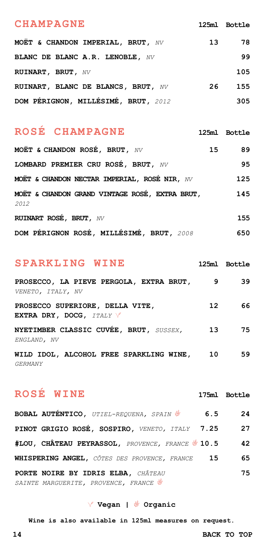#### <span id="page-13-0"></span>**CHAMPAGNE 125ml Bottle**

| MOËT & CHANDON IMPERIAL, BRUT, $NV$ | 13 | 78  |
|-------------------------------------|----|-----|
| BLANC DE BLANC A.R. LENOBLE, NV     |    | 99  |
| RUINART, BRUT, NV                   |    | 105 |
| RUINART, BLANC DE BLANCS, BRUT, NV  | 26 | 155 |
| DOM PÉRIGNON, MILLÉSIMÉ, BRUT, 2012 |    | 305 |

## **ROSÉ CHAMPAGNE 125ml Bottle**

**MOËT & CHANDON ROSÉ, BRUT,** *NV* **15 89 LOMBARD PREMIER CRU ROSÉ, BRUT,** *NV* **95 MOËT & CHANDON NECTAR IMPERIAL, ROSÉ NIR,** *NV* **125 MOËT & CHANDON GRAND VINTAGE ROSÉ, EXTRA BRUT, 145** *2012* **RUINART ROSÉ, BRUT,** *NV* **155 DOM PÉRIGNON ROSÉ, MILLÉSIMÉ, BRUT,** *2008* **650**

#### **SPARKLING WINE 125ml Bottle**

| PROSECCO, LA PIEVE PERGOLA, EXTRA BRUT,<br>VENETO, ITALY, NV | 9                | 39 |
|--------------------------------------------------------------|------------------|----|
| PROSECCO SUPERIORE, DELLA VITE,<br>EXTRA DRY, DOCG, ITALY V  | 12 <sup>12</sup> | 66 |
| NYETIMBER CLASSIC CUVÉE, BRUT, SUSSEX,<br>ENGLAND, NV        | 13               | 75 |
| WILD IDOL, ALCOHOL FREE SPARKLING WINE,                      | 10               | 59 |

*GERMANY*

# **ROSÉ WINE 175ml Bottle**

| <b>BOBAL AUTÉNTICO, UTIEL-REQUENA, SPAIN</b>     | 6.5 | 24 |
|--------------------------------------------------|-----|----|
| PINOT GRIGIO ROSÉ, SOSPIRO, VENETO, ITALY 7.25   |     | 27 |
| #LOU, CHÂTEAU PEYRASSOL, PROVENCE, FRANCE \$10.5 |     | 42 |
| WHISPERING ANGEL, CÔTES DES PROVENCE, FRANCE     | 15  | 65 |
| PORTE NOIRE BY IDRIS ELBA, CHÂTEAU               |     | 75 |
| SAINTE MARGUERITE, PROVENCE, FRANCE              |     |    |

#### **Vegan | Organic**

**Wine is also available in 125ml measures on request.**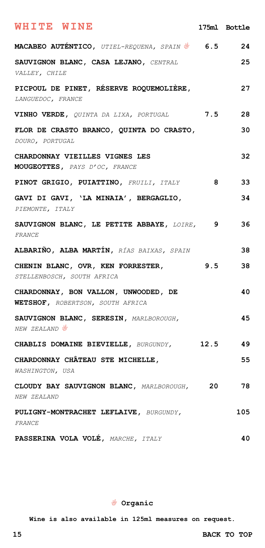<span id="page-14-0"></span>

| <b>WHITE WINE</b>                                                        |     | 175ml Bottle |
|--------------------------------------------------------------------------|-----|--------------|
| <b>MACABEO AUTÉNTICO,</b> UTIEL-REQUENA, SPAIN 6.5                       |     | 24           |
| SAUVIGNON BLANC, CASA LEJANO, CENTRAL<br>VALLEY, CHILE                   |     | 25           |
| PICPOUL DE PINET, RÉSERVE ROQUEMOLIÈRE,<br>LANGUEDOC, FRANCE             |     | 27           |
| VINHO VERDE, QUINTA DA LIXA, PORTUGAL                                    | 7.5 | 28           |
| FLOR DE CRASTO BRANCO, QUINTA DO CRASTO,<br>DOURO, PORTUGAL              |     | 30           |
| CHARDONNAY VIEILLES VIGNES LES<br>MOUGEOTTES, PAYS D'OC, FRANCE          |     | 32           |
| PINOT GRIGIO, PUIATTINO, FRUILI, ITALY                                   | -8  | 33           |
| GAVI DI GAVI, 'LA MINAIA', BERGAGLIO,<br>PIEMONTE, ITALY                 |     | 34           |
| SAUVIGNON BLANC, LE PETITE ABBAYE, LOIRE, 9<br>FRANCE                    |     | 36           |
| ALBARIÑO, ALBA MARTÍN, RÍAS BAIXAS, SPAIN                                |     | 38           |
| CHENIN BLANC, OVR, KEN FORRESTER,<br>STELLENBOSCH, SOUTH AFRICA          | 9.5 | 38           |
| CHARDONNAY, BON VALLON, UNWOODED, DE<br>WETSHOF, ROBERTSON, SOUTH AFRICA |     | 40           |
| SAUVIGNON BLANC, SERESIN, MARLBOROUGH,<br>NEW ZEALAND &                  |     | 45           |
| CHABLIS DOMAINE BIEVIELLE, BURGUNDY, 12.5                                |     | 49           |
| CHARDONNAY CHÂTEAU STE MICHELLE,<br>WASHINGTON, USA                      |     | 55           |
| CLOUDY BAY SAUVIGNON BLANC, MARLBOROUGH, 20<br>NEW ZEALAND               |     | 78           |
| PULIGNY-MONTRACHET LEFLAIVE, BURGUNDY,<br>FRANCE                         |     | 105          |
| PASSERINA VOLA VOLÉ, MARCHE, ITALY                                       |     | 40           |

 **Organic**

**Wine is also available in 125ml measures on request.**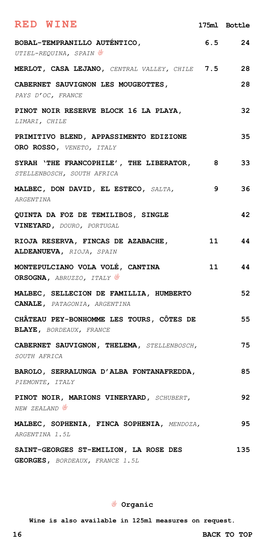<span id="page-15-0"></span>

| RED WINE                                                                   |    | 175ml Bottle |
|----------------------------------------------------------------------------|----|--------------|
| BOBAL-TEMPRANILLO AUTÉNTICO,<br>UTIEL-REQUINA, SPAIN                       |    | $6.5$ 24     |
| MERLOT, CASA LEJANO, CENTRAL VALLEY, CHILE 7.5                             |    | 28           |
| CABERNET SAUVIGNON LES MOUGEOTTES,<br>PAYS D'OC, FRANCE                    |    | 28           |
| PINOT NOIR RESERVE BLOCK 16 LA PLAYA,<br>LIMARI, CHILE                     |    | 32           |
| PRIMITIVO BLEND, APPASSIMENTO EDIZIONE<br>ORO ROSSO, VENETO, ITALY         |    | 35           |
| SYRAH 'THE FRANCOPHILE', THE LIBERATOR, 8<br>STELLENBOSCH, SOUTH AFRICA    |    | 33           |
| MALBEC, DON DAVID, EL ESTECO, SALTA,<br>ARGENTINA                          | 9  | 36           |
| QUINTA DA FOZ DE TEMILIBOS, SINGLE<br>VINEYARD, DOURO, PORTUGAL            |    | 42           |
| RIOJA RESERVA, FINCAS DE AZABACHE,<br>ALDEANUEVA, RIOJA, SPAIN             |    | 11 1<br>44   |
| MONTEPULCIANO VOLA VOLÉ, CANTINA<br>ORSOGNA, ABRUZZO, ITALY                | 11 | 44           |
| MALBEC, SELLECION DE FAMILLIA, HUMBERTO<br>CANALE, PATAGONIA, ARGENTINA    |    | 52           |
| CHÂTEAU PEY-BONHOMME LES TOURS, CÔTES DE<br><b>BLAYE, BORDEAUX, FRANCE</b> |    | 55           |
| CABERNET SAUVIGNON, THELEMA, STELLENBOSCH,<br>SOUTH AFRICA                 |    | 75           |
| BAROLO, SERRALUNGA D'ALBA FONTANAFREDDA,<br>PIEMONTE, ITALY                |    | 85           |
| PINOT NOIR, MARIONS VINERYARD, SCHUBERT,<br>NEW ZEALAND <sup>®</sup>       |    | 92           |
| MALBEC, SOPHENIA, FINCA SOPHENIA, MENDOZA,<br>ARGENTINA 1.5L               |    | 95           |
| SAINT-GEORGES ST-EMILION, LA ROSE DES<br>GEORGES, BORDEAUX, FRANCE 1.5L    |    | 135          |

 **Organic**

**Wine is also available in 125ml measures on request.**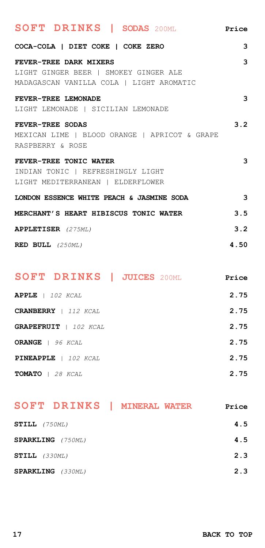<span id="page-16-0"></span>

| SOFT DRINKS   SODAS 200ML                     | Price                    |
|-----------------------------------------------|--------------------------|
| COCA-COLA   DIET COKE   COKE ZERO             | 3                        |
| FEVER-TREE DARK MIXERS                        | 3                        |
| LIGHT GINGER BEER   SMOKEY GINGER ALE         |                          |
| MADAGASCAN VANILLA COLA   LIGHT AROMATIC      |                          |
| FEVER-TREE LEMONADE                           | 3                        |
| LIGHT LEMONADE   SICILIAN LEMONADE            |                          |
| FEVER-TREE SODAS                              | 3.2                      |
| MEXICAN LIME   BLOOD ORANGE   APRICOT & GRAPE |                          |
| RASPBERRY & ROSE                              |                          |
| FEVER-TREE TONIC WATER                        | 3                        |
| INDIAN TONIC   REFRESHINGLY LIGHT             |                          |
| LIGHT MEDITERRANEAN   ELDERFLOWER             |                          |
| LONDON ESSENCE WHITE PEACH & JASMINE SODA     | $\overline{\phantom{a}}$ |
| MERCHANT'S HEART HIBISCUS TONIC WATER         | 3.5                      |
| <b>APPLETISER</b> (275ML)                     | 3.2                      |
| RED BULL (250ML)                              | 4.50                     |

| <b>SOFT DRINKS   JUICES 200ML</b> | Price |
|-----------------------------------|-------|
| <b>APPLE</b>   102 KCAL           | 2.75  |
| <b>CRANBERRY</b>   112 KCAL       | 2.75  |
| <b>GRAPEFRUIT</b>   102 KCAL      | 2.75  |
| ORANGE   96 KCAL                  | 2.75  |
| PINEAPPLE   102 KCAL              | 2.75  |
| TOMATO   28 KCAL                  | 2.75  |

| SOFT DRINKS   MINERAL WATER | Price |
|-----------------------------|-------|
| $STILI$ , $(750ML)$         | 4.5   |
| SPARKLING (750ML)           | 4.5   |
| $STILI$ , $(330ML)$         | 2.3   |
| <b>SPARKLING</b> (330ML)    | 2.3   |
|                             |       |